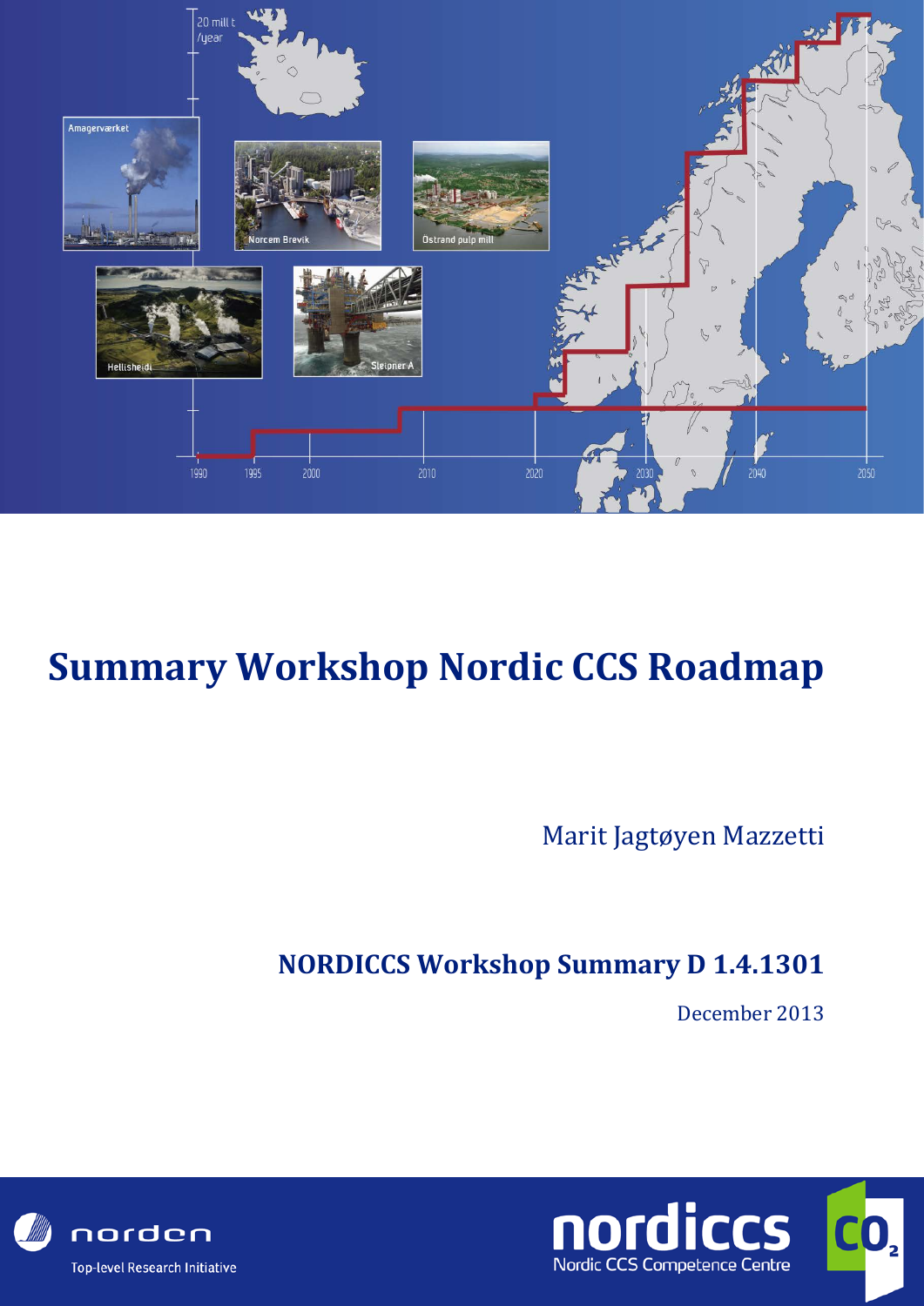

# **Summary Workshop Nordic CCS Roadmap**

Marit Jagtøyen Mazzetti

### **NORDICCS Workshop Summary D 1.4.1301**

December 2013



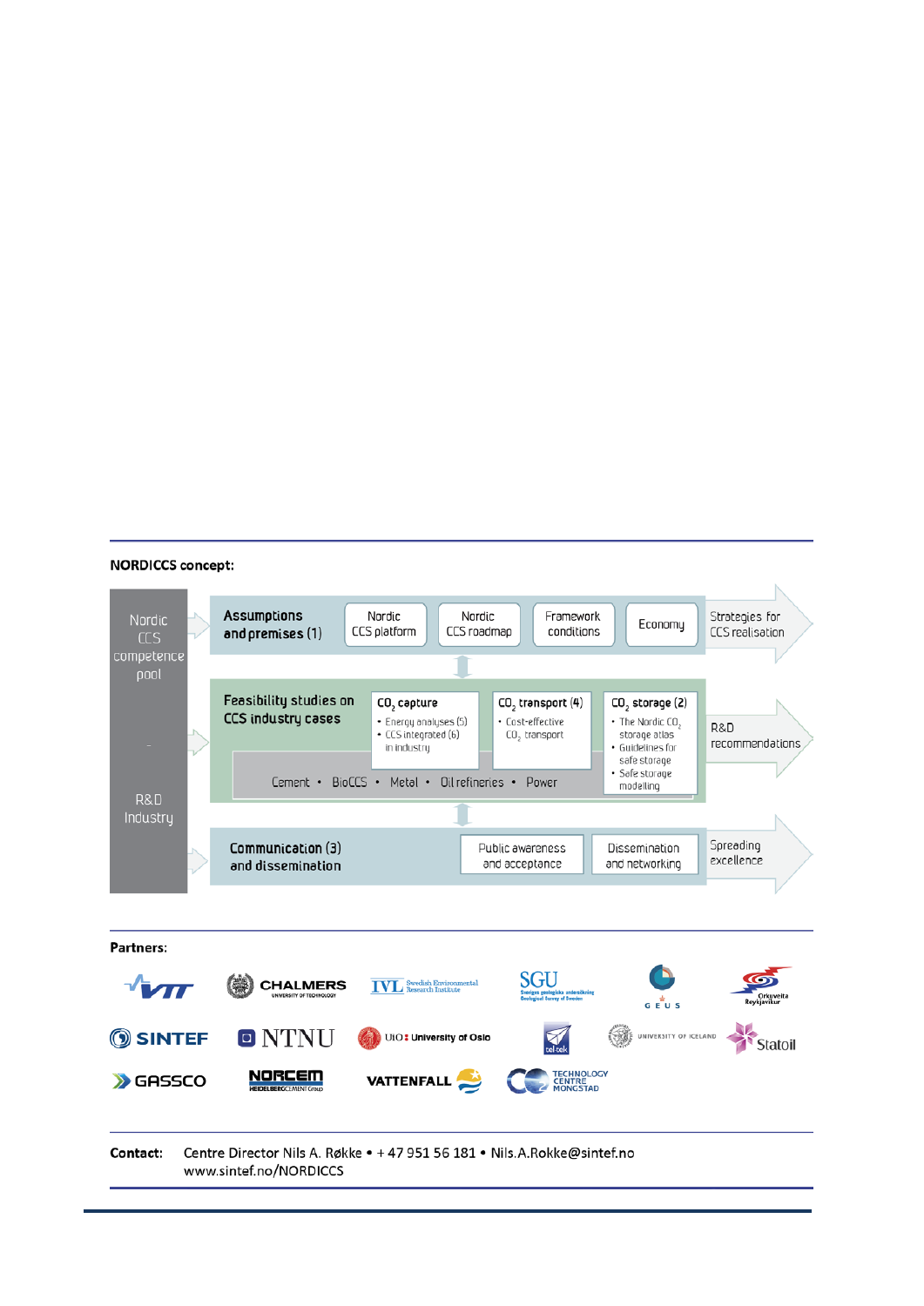#### **NORDICCS concept:**

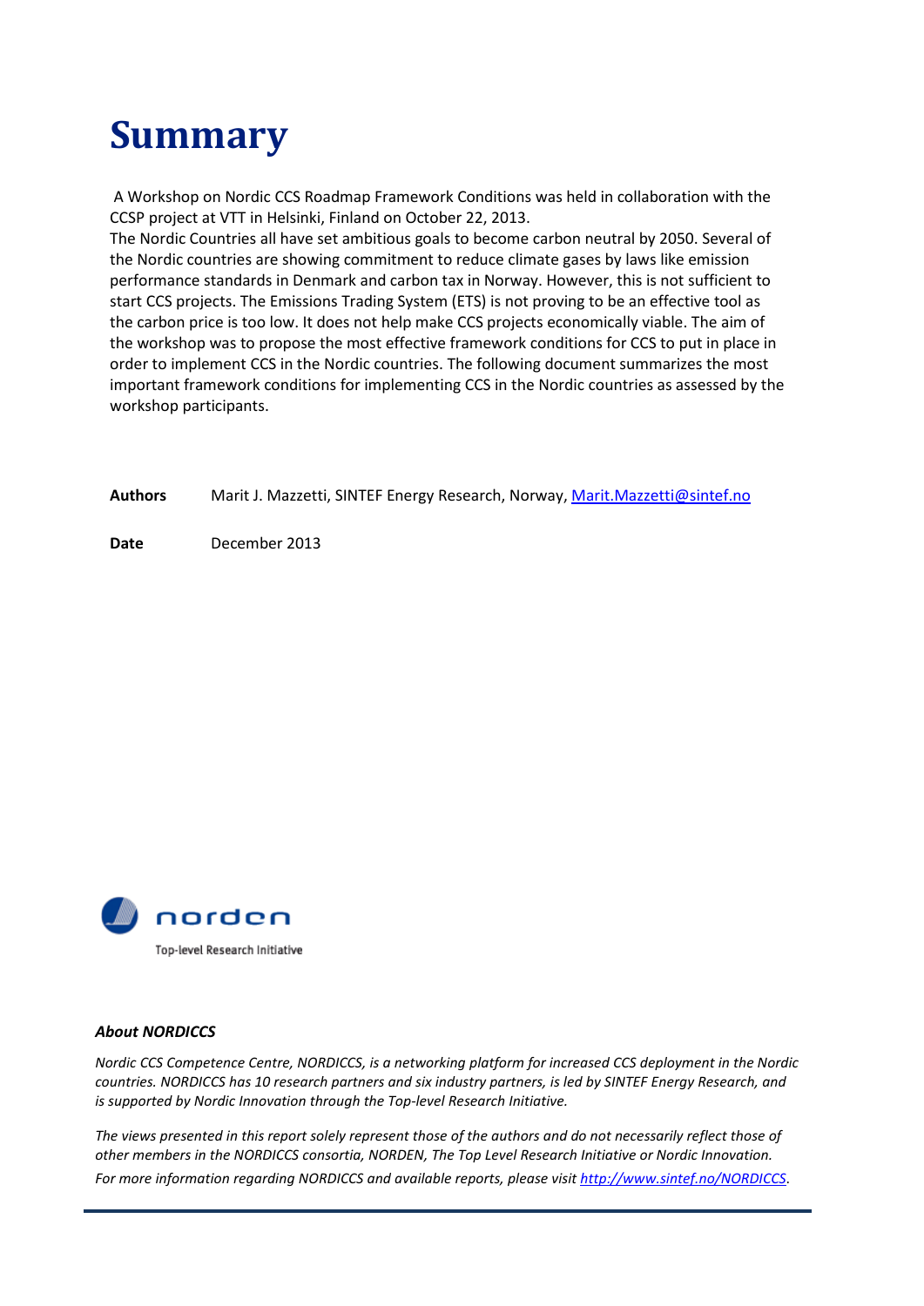## **Summary**

A Workshop on Nordic CCS Roadmap Framework Conditions was held in collaboration with the CCSP project at VTT in Helsinki, Finland on October 22, 2013.

The Nordic Countries all have set ambitious goals to become carbon neutral by 2050. Several of the Nordic countries are showing commitment to reduce climate gases by laws like emission performance standards in Denmark and carbon tax in Norway. However, this is not sufficient to start CCS projects. The Emissions Trading System (ETS) is not proving to be an effective tool as the carbon price is too low. It does not help make CCS projects economically viable. The aim of the workshop was to propose the most effective framework conditions for CCS to put in place in order to implement CCS in the Nordic countries. The following document summarizes the most important framework conditions for implementing CCS in the Nordic countries as assessed by the workshop participants.

**Authors** Marit J. Mazzetti, SINTEF Energy Research, Norway, [Marit.Mazzetti@sintef.no](mailto:Marit.Mazzetti@sintef.no)

**Date** December 2013



#### *About NORDICCS*

*Nordic CCS Competence Centre, NORDICCS, is a networking platform for increased CCS deployment in the Nordic countries. NORDICCS has 10 research partners and six industry partners, is led by SINTEF Energy Research, and is supported by Nordic Innovation through the Top-level Research Initiative.*

*The views presented in this report solely represent those of the authors and do not necessarily reflect those of other members in the NORDICCS consortia, NORDEN, The Top Level Research Initiative or Nordic Innovation. For more information regarding NORDICCS and available reports, please visit<http://www.sintef.no/NORDICCS>*.